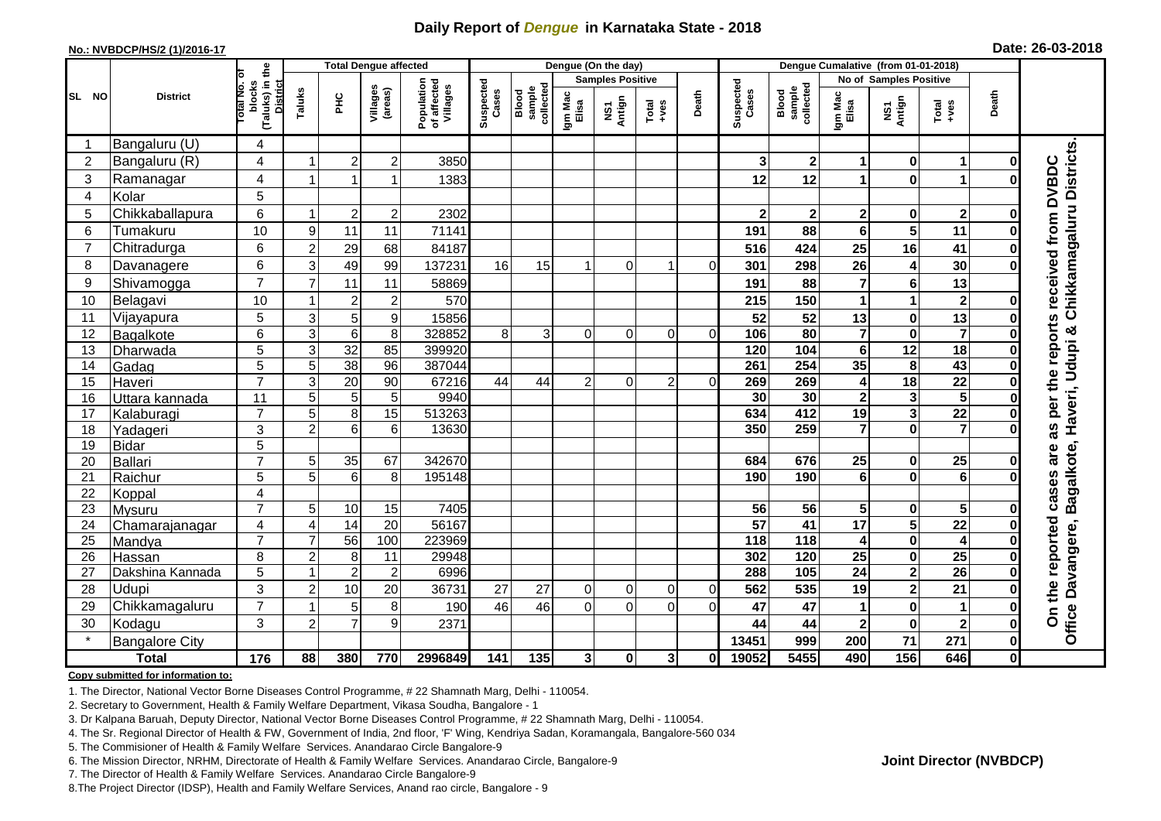## **Daily Report of** *Dengue* **in Karnataka State - 2018**

#### **No.: NVBDCP/HS/2 (1)/2016-17**

|  | Date: 26-03-2018 |  |
|--|------------------|--|
|--|------------------|--|

|                |                            |                                                              |                         |                                    | <b>Total Dengue affected</b> |                                       |                    |                              |                  | Dengue (On the day) |                  |                |                        |                              |                         |                         |                         |              |                                                                 |
|----------------|----------------------------|--------------------------------------------------------------|-------------------------|------------------------------------|------------------------------|---------------------------------------|--------------------|------------------------------|------------------|---------------------|------------------|----------------|------------------------|------------------------------|-------------------------|-------------------------|-------------------------|--------------|-----------------------------------------------------------------|
|                |                            |                                                              |                         |                                    |                              | <b>Samples Positive</b>               |                    |                              |                  |                     |                  |                |                        | No of Samples Positive       |                         |                         |                         |              |                                                                 |
| SL NO          | <b>District</b>            | (Taluks) in the<br>Total No. of<br>blocks<br><b>District</b> | Taluks                  | Ξ                                  | Villages<br>(areas)          | Population<br>of affected<br>Villages | Suspected<br>Cases | collected<br>sample<br>Blood | Igm Mac<br>Elisa | Antign<br>λŠ1       | $Tota$<br>$+ves$ | Death          | Suspected<br>Cases     | sample<br>collected<br>Blood | Igm Mac<br>Elisa        | NS1<br>Antign           | Total<br>+ves           | Death        |                                                                 |
|                | Bangaluru (U)              | 4                                                            |                         |                                    |                              |                                       |                    |                              |                  |                     |                  |                |                        |                              |                         |                         |                         |              |                                                                 |
| $\overline{2}$ | Bangaluru (R)              | 4                                                            |                         | $\overline{2}$                     | $\overline{c}$               | 3850                                  |                    |                              |                  |                     |                  |                | 3                      | $\boldsymbol{2}$             | 1                       | $\bf{0}$                | 1                       |              |                                                                 |
| $\mathbf{3}$   | Ramanagar                  | 4                                                            | 1                       |                                    | $\overline{1}$               | 1383                                  |                    |                              |                  |                     |                  |                | 12                     | 12                           | 1                       | $\mathbf{0}$            | 1                       |              | Chikkamagaluru Districts<br>received from DVBDC                 |
| $\overline{4}$ | Kolar                      | 5                                                            |                         |                                    |                              |                                       |                    |                              |                  |                     |                  |                |                        |                              |                         |                         |                         |              |                                                                 |
| 5              | Chikkaballapura            | $\overline{6}$                                               | -1                      | $\overline{c}$                     | $\overline{2}$               | 2302                                  |                    |                              |                  |                     |                  |                | 2                      | $\boldsymbol{2}$             | $\mathbf 2$             | $\mathbf 0$             | $\boldsymbol{2}$        |              |                                                                 |
| 6              | Tumakuru                   | 10                                                           | 9                       | 11                                 | 11                           | 71141                                 |                    |                              |                  |                     |                  |                | 191                    | 88                           | 6                       | 5                       | 11                      |              |                                                                 |
| 7              | Chitradurga                | $6\phantom{1}$                                               | $\overline{2}$          | 29                                 | 68                           | 84187                                 |                    |                              |                  |                     |                  |                | 516                    | 424                          | 25                      | 16                      | 41                      |              |                                                                 |
| 8              | Davanagere                 | 6                                                            | 3                       | 49                                 | 99                           | 137231                                | 16                 | 15                           |                  | 0                   |                  | $\Omega$       | 301                    | 298                          | 26                      | $\overline{4}$          | 30                      |              |                                                                 |
| 9              | Shivamogga                 | $\overline{7}$                                               | $\overline{7}$          | 11                                 | 11                           | 58869                                 |                    |                              |                  |                     |                  |                | 191                    | 88                           | $\overline{7}$          | $6\phantom{1}6$         | 13                      |              |                                                                 |
| 10             | Belagavi                   | 10                                                           |                         | $\overline{2}$                     | $\overline{2}$               | 570                                   |                    |                              |                  |                     |                  |                | 215                    | 150                          | 1                       | 1                       | $\mathbf{2}$            |              |                                                                 |
| 11             | Vijayapura                 | 5                                                            | 3                       | 5 <sup>1</sup>                     | $\boldsymbol{9}$             | 15856                                 |                    |                              |                  |                     |                  |                | 52                     | 52                           | 13                      | $\bf{0}$                | 13                      |              |                                                                 |
| 12             | Bagalkote                  | 6                                                            | 3                       | $6\phantom{1}$                     | 8                            | 328852                                | 8                  | 3                            | $\Omega$         | $\Omega$            | $\Omega$         | $\Omega$       | 106                    | $\overline{80}$              | $\overline{\mathbf{7}}$ | $\bf{0}$                | $\overline{\mathbf{z}}$ |              | per the reports                                                 |
| 13             | Dharwada                   | $\overline{5}$                                               | 3                       | $\overline{32}$                    | 85                           | 399920                                |                    |                              |                  |                     |                  |                | 120                    | 104                          | $\overline{\mathbf{6}}$ | $\overline{12}$         | $\overline{18}$         |              |                                                                 |
| 14             | Gadag                      | $\overline{5}$                                               | 5                       | $\overline{38}$                    | 96                           | 387044                                |                    |                              |                  |                     |                  |                | 261                    | 254                          | 35                      | 8                       | 43                      |              |                                                                 |
| 15             | Haveri                     | $\overline{7}$                                               | 3                       | 20                                 | 90                           | 67216                                 | 44                 | 44                           | $\overline{2}$   | $\mathbf 0$         | 2 <sup>1</sup>   | $\Omega$       | 269                    | 269                          | 4                       | 18                      | $\overline{22}$         |              |                                                                 |
| 16             | Uttara kannada             | 11                                                           | 5                       | 5 <sub>l</sub>                     | 5                            | 9940                                  |                    |                              |                  |                     |                  |                | 30                     | 30                           | $\boldsymbol{2}$        | $\mathbf{3}$            | $5\phantom{a}$          |              |                                                                 |
| 17             | Kalaburagi                 | $\overline{7}$                                               | 5                       | 8 <sup>1</sup>                     | 15                           | 513263                                |                    |                              |                  |                     |                  |                | 634                    | 412                          | 19                      | $\mathbf{3}$            | $\overline{22}$         |              |                                                                 |
| 18             | Yadageri                   | 3                                                            | $\overline{2}$          | 6                                  | 6                            | 13630                                 |                    |                              |                  |                     |                  |                | 350                    | 259                          | $\overline{7}$          | $\mathbf 0$             | $\overline{7}$          |              | as                                                              |
| 19             | <b>Bidar</b>               | $\overline{5}$                                               |                         |                                    |                              |                                       |                    |                              |                  |                     |                  |                |                        |                              |                         |                         |                         |              | are                                                             |
| 20             | Ballari                    | $\overline{7}$                                               | 5                       | 35                                 | 67                           | 342670                                |                    |                              |                  |                     |                  |                | 684                    | 676                          | 25                      | 0                       | 25                      |              |                                                                 |
| 21             | Raichur                    | $\overline{5}$                                               | 5                       | $6 \mid$                           | 8                            | 195148                                |                    |                              |                  |                     |                  |                | 190                    | 190                          | $\overline{6}$          | $\mathbf 0$             | $\overline{6}$          |              | cases                                                           |
| 22             | Koppal                     | 4<br>$\overline{7}$                                          |                         |                                    |                              |                                       |                    |                              |                  |                     |                  |                |                        |                              |                         |                         |                         |              |                                                                 |
| 23             | Mysuru                     |                                                              | 5                       | 10                                 | 15                           | 7405                                  |                    |                              |                  |                     |                  |                | 56                     | $\overline{56}$              | 5<br>$\overline{17}$    | $\bf{0}$                | $5\phantom{.0}$         |              |                                                                 |
| 24<br>25       | Chamarajanagar             | 4<br>$\overline{7}$                                          | $\overline{4}$<br>7     | $\overline{14}$<br>$\overline{56}$ | $\overline{20}$<br>100       | 56167<br>223969                       |                    |                              |                  |                     |                  |                | $\overline{57}$<br>118 | 41<br>$\frac{1}{18}$         |                         | $\overline{\mathbf{5}}$ | $\overline{22}$<br>4    |              |                                                                 |
| 26             | Mandya                     | 8                                                            | $\overline{c}$          | 8                                  | 11                           | 29948                                 |                    |                              |                  |                     |                  |                | 302                    | $\frac{1}{120}$              | 4<br>$\overline{25}$    | $\pmb{0}$<br>$\pmb{0}$  | $\overline{25}$         |              |                                                                 |
| 27             | Hassan<br>Dakshina Kannada | $\overline{5}$                                               | $\overline{\mathbf{1}}$ | 2 <sup>1</sup>                     | $\overline{c}$               | 6996                                  |                    |                              |                  |                     |                  |                | 288                    | 105                          | $\overline{24}$         | $\overline{2}$          | $\overline{26}$         |              |                                                                 |
| 28             | Udupi                      | 3                                                            | $\overline{a}$          | 10                                 | 20                           | 36731                                 | 27                 | 27                           | $\mathbf 0$      | $\mathbf 0$         | $\overline{0}$   | $\overline{0}$ | 562                    | 535                          | 19                      | $\mathbf{2}$            | 21                      |              |                                                                 |
| 29             | Chikkamagaluru             | $\overline{7}$                                               |                         | 5                                  | 8                            | 190                                   | 46                 | 46                           | $\Omega$         | $\Omega$            | $\Omega$         |                | 47                     | 47                           | 1                       | $\mathbf 0$             | 1                       | Ω            |                                                                 |
| 30             | Kodagu                     | 3                                                            | $\overline{2}$          | $\overline{7}$                     | 9                            | 2371                                  |                    |                              |                  |                     |                  |                | 44                     | 44                           | $\overline{\mathbf{2}}$ | $\bf{0}$                | $\mathbf{2}$            | $\mathbf{0}$ | Office Davangere, Bagalkote, Haveri, Udupi &<br>On the reported |
|                | <b>Bangalore City</b>      |                                                              |                         |                                    |                              |                                       |                    |                              |                  |                     |                  |                | 13451                  | 999                          | 200                     | 71                      | 271                     | $\mathbf{0}$ |                                                                 |
|                | <b>Total</b>               | 176                                                          | 88                      | 380                                | 770                          | 2996849                               | 141                | 135                          | $\mathbf{3}$     | $\mathbf{0}$        | 3                | O              | 19052                  | 5455                         | 490                     | 156                     | 646                     | οl           |                                                                 |
|                |                            |                                                              |                         |                                    |                              |                                       |                    |                              |                  |                     |                  |                |                        |                              |                         |                         |                         |              |                                                                 |

#### **Copy submitted for information to:**

1. The Director, National Vector Borne Diseases Control Programme, # 22 Shamnath Marg, Delhi - 110054.

2. Secretary to Government, Health & Family Welfare Department, Vikasa Soudha, Bangalore - 1

3. Dr Kalpana Baruah, Deputy Director, National Vector Borne Diseases Control Programme, # 22 Shamnath Marg, Delhi - 110054.

4. The Sr. Regional Director of Health & FW, Government of India, 2nd floor, 'F' Wing, Kendriya Sadan, Koramangala, Bangalore-560 034

5. The Commisioner of Health & Family Welfare Services. Anandarao Circle Bangalore-9

6. The Mission Director, NRHM, Directorate of Health & Family Welfare Services. Anandarao Circle, Bangalore-9

7. The Director of Health & Family Welfare Services. Anandarao Circle Bangalore-9

8.The Project Director (IDSP), Health and Family Welfare Services, Anand rao circle, Bangalore - 9